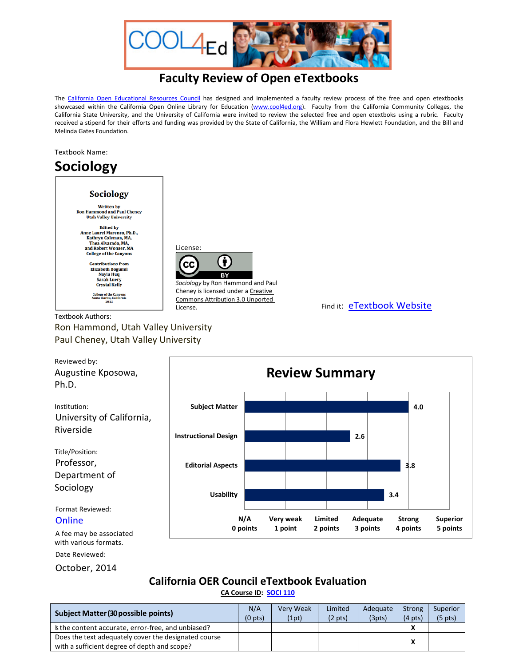

## **Faculty Review of Open eTextbooks**

The [California Open Educational Resources Council](http://icas-ca.org/coerc) has designed and implemented a faculty review process of the free and open etextbooks showcased within the California Open Online Library for Education [\(www.cool4ed.org\)](http://www.cool4ed.org/). Faculty from the California Community Colleges, the California State University, and the University of California were invited to review the selected free and open etextboks using a rubric. Faculty received a stipend for their efforts and funding was provided by the State of California, the William and Flora Hewlett Foundation, and the Bill and Melinda Gates Foundation.

Textbook Name:

Date Reviewed: October, 2014

## **Sociology**



Ron Hammond, Utah Valley University Paul Cheney, Utah Valley University



## **California OER Council eTextbook Evaluation**

**[CA Course ID:](https://c-id.net/about.html) [SOCI 110](https://c-id.net/descriptor_details.html?descriptor=249)**

| <b>Subject Matter (30 possible points)</b>                                                           | N/A<br>(0 <sub>pts</sub> ) | <b>Very Weak</b><br>(1pt) | Limited<br>$(2 \text{ pts})$ | Adequate<br>(3pts) | Strong<br>$(4 \text{ pts})$ | Superior<br>$(5 \text{ pts})$ |
|------------------------------------------------------------------------------------------------------|----------------------------|---------------------------|------------------------------|--------------------|-----------------------------|-------------------------------|
| s the content accurate, error-free, and unbiased?                                                    |                            |                           |                              |                    |                             |                               |
| Does the text adequately cover the designated course<br>with a sufficient degree of depth and scope? |                            |                           |                              |                    | ^                           |                               |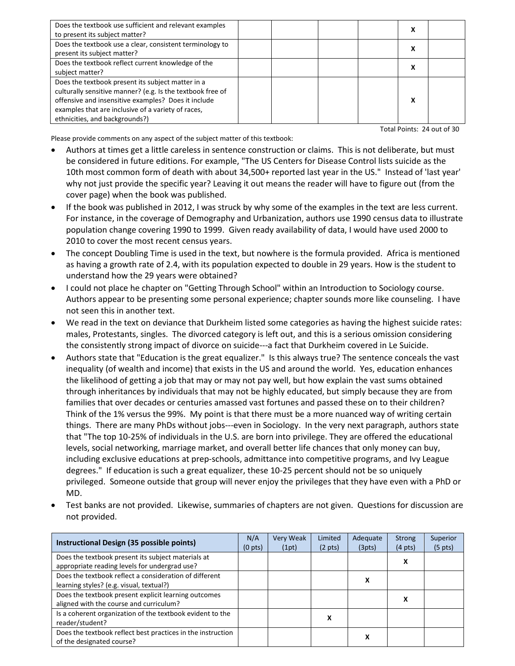| Does the textbook use sufficient and relevant examples<br>to present its subject matter?                                                                                                                                                                       |  |  | x      |  |
|----------------------------------------------------------------------------------------------------------------------------------------------------------------------------------------------------------------------------------------------------------------|--|--|--------|--|
| Does the textbook use a clear, consistent terminology to<br>present its subject matter?                                                                                                                                                                        |  |  | v<br>л |  |
| Does the textbook reflect current knowledge of the<br>subject matter?                                                                                                                                                                                          |  |  | v<br>л |  |
| Does the textbook present its subject matter in a<br>culturally sensitive manner? (e.g. Is the textbook free of<br>offensive and insensitive examples? Does it include<br>examples that are inclusive of a variety of races,<br>ethnicities, and backgrounds?) |  |  | v<br>л |  |

Total Points: 24 out of 30

Please provide comments on any aspect of the subject matter of this textbook:

- Authors at times get a little careless in sentence construction or claims. This is not deliberate, but must be considered in future editions. For example, "The US Centers for Disease Control lists suicide as the 10th most common form of death with about 34,500+ reported last year in the US." Instead of 'last year' why not just provide the specific year? Leaving it out means the reader will have to figure out (from the cover page) when the book was published.
- If the book was published in 2012, I was struck by why some of the examples in the text are less current. For instance, in the coverage of Demography and Urbanization, authors use 1990 census data to illustrate population change covering 1990 to 1999. Given ready availability of data, I would have used 2000 to 2010 to cover the most recent census years.
- The concept Doubling Time is used in the text, but nowhere is the formula provided. Africa is mentioned as having a growth rate of 2.4, with its population expected to double in 29 years. How is the student to understand how the 29 years were obtained?
- I could not place he chapter on "Getting Through School" within an Introduction to Sociology course. Authors appear to be presenting some personal experience; chapter sounds more like counseling. I have not seen this in another text.
- We read in the text on deviance that Durkheim listed some categories as having the highest suicide rates: males, Protestants, singles. The divorced category is left out, and this is a serious omission considering the consistently strong impact of divorce on suicide---a fact that Durkheim covered in Le Suicide.
- Authors state that "Education is the great equalizer." Is this always true? The sentence conceals the vast inequality (of wealth and income) that exists in the US and around the world. Yes, education enhances the likelihood of getting a job that may or may not pay well, but how explain the vast sums obtained through inheritances by individuals that may not be highly educated, but simply because they are from families that over decades or centuries amassed vast fortunes and passed these on to their children? Think of the 1% versus the 99%. My point is that there must be a more nuanced way of writing certain things. There are many PhDs without jobs---even in Sociology. In the very next paragraph, authors state that "The top 10-25% of individuals in the U.S. are born into privilege. They are offered the educational levels, social networking, marriage market, and overall better life chances that only money can buy, including exclusive educations at prep-schools, admittance into competitive programs, and Ivy League degrees." If education is such a great equalizer, these 10-25 percent should not be so uniquely privileged. Someone outside that group will never enjoy the privileges that they have even with a PhD or MD.
- Test banks are not provided. Likewise, summaries of chapters are not given. Questions for discussion are not provided.

| Instructional Design (35 possible points)                                                           | N/A<br>(0 <sub>pts</sub> ) | <b>Very Weak</b><br>(1pt) | Limited<br>$(2 \text{ pts})$ | Adequate<br>(3pts) | <b>Strong</b><br>$(4 \text{ pts})$ | Superior<br>$(5 \text{ pts})$ |
|-----------------------------------------------------------------------------------------------------|----------------------------|---------------------------|------------------------------|--------------------|------------------------------------|-------------------------------|
| Does the textbook present its subject materials at<br>appropriate reading levels for undergrad use? |                            |                           |                              |                    | х                                  |                               |
| Does the textbook reflect a consideration of different<br>learning styles? (e.g. visual, textual?)  |                            |                           |                              | x                  |                                    |                               |
| Does the textbook present explicit learning outcomes<br>aligned with the course and curriculum?     |                            |                           |                              |                    | x                                  |                               |
| Is a coherent organization of the textbook evident to the<br>reader/student?                        |                            |                           | х                            |                    |                                    |                               |
| Does the textbook reflect best practices in the instruction<br>of the designated course?            |                            |                           |                              | х                  |                                    |                               |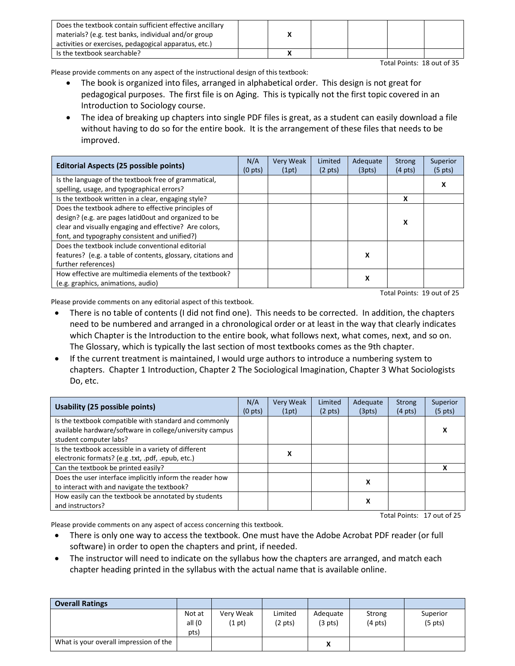| Does the textbook contain sufficient effective ancillary<br>materials? (e.g. test banks, individual and/or group<br>activities or exercises, pedagogical apparatus, etc.) |  |  |  |
|---------------------------------------------------------------------------------------------------------------------------------------------------------------------------|--|--|--|
| Is the textbook searchable?                                                                                                                                               |  |  |  |

Total Points: 18 out of 35

Please provide comments on any aspect of the instructional design of this textbook:

- The book is organized into files, arranged in alphabetical order. This design is not great for pedagogical purposes. The first file is on Aging. This is typically not the first topic covered in an Introduction to Sociology course.
- The idea of breaking up chapters into single PDF files is great, as a student can easily download a file without having to do so for the entire book. It is the arrangement of these files that needs to be improved.

| <b>Editorial Aspects (25 possible points)</b>                | N/A<br>(0 <sub>pts</sub> ) | <b>Very Weak</b><br>(1pt) | Limited<br>$(2 \text{ pts})$ | Adequate<br>(3pts) | <b>Strong</b><br>$(4 \text{ pts})$ | Superior<br>$(5 \text{ pts})$ |
|--------------------------------------------------------------|----------------------------|---------------------------|------------------------------|--------------------|------------------------------------|-------------------------------|
| Is the language of the textbook free of grammatical,         |                            |                           |                              |                    |                                    | x                             |
| spelling, usage, and typographical errors?                   |                            |                           |                              |                    |                                    |                               |
| Is the textbook written in a clear, engaging style?          |                            |                           |                              |                    | X                                  |                               |
| Does the textbook adhere to effective principles of          |                            |                           |                              |                    |                                    |                               |
| design? (e.g. are pages latid0out and organized to be        |                            |                           |                              |                    | X                                  |                               |
| clear and visually engaging and effective? Are colors,       |                            |                           |                              |                    |                                    |                               |
| font, and typography consistent and unified?)                |                            |                           |                              |                    |                                    |                               |
| Does the textbook include conventional editorial             |                            |                           |                              |                    |                                    |                               |
| features? (e.g. a table of contents, glossary, citations and |                            |                           |                              | x                  |                                    |                               |
| further references)                                          |                            |                           |                              |                    |                                    |                               |
| How effective are multimedia elements of the textbook?       |                            |                           |                              | x                  |                                    |                               |
| (e.g. graphics, animations, audio)                           |                            |                           |                              |                    |                                    |                               |

Please provide comments on any editorial aspect of this textbook.

Total Points: 19 out of 25

- There is no table of contents (I did not find one). This needs to be corrected. In addition, the chapters need to be numbered and arranged in a chronological order or at least in the way that clearly indicates which Chapter is the Introduction to the entire book, what follows next, what comes, next, and so on. The Glossary, which is typically the last section of most textbooks comes as the 9th chapter.
- If the current treatment is maintained, I would urge authors to introduce a numbering system to chapters. Chapter 1 Introduction, Chapter 2 The Sociological Imagination, Chapter 3 What Sociologists Do, etc.

| <b>Usability (25 possible points)</b>                                                                                                       | N/A<br>(0 <sub>pts</sub> ) | Very Weak<br>(1pt) | Limited<br>$(2 \text{ pts})$ | Adequate<br>(3pts) | <b>Strong</b><br>$(4 \text{ pts})$ | Superior<br>$(5 \text{ pts})$ |
|---------------------------------------------------------------------------------------------------------------------------------------------|----------------------------|--------------------|------------------------------|--------------------|------------------------------------|-------------------------------|
| Is the textbook compatible with standard and commonly<br>available hardware/software in college/university campus<br>student computer labs? |                            |                    |                              |                    |                                    | х                             |
| Is the textbook accessible in a variety of different<br>electronic formats? (e.g.txt, .pdf, .epub, etc.)                                    |                            | x                  |                              |                    |                                    |                               |
| Can the textbook be printed easily?                                                                                                         |                            |                    |                              |                    |                                    |                               |
| Does the user interface implicitly inform the reader how<br>to interact with and navigate the textbook?                                     |                            |                    |                              | х                  |                                    |                               |
| How easily can the textbook be annotated by students<br>and instructors?                                                                    |                            |                    |                              | х                  |                                    |                               |
| Total Points: 17 out of 25                                                                                                                  |                            |                    |                              |                    |                                    |                               |

Please provide comments on any aspect of access concerning this textbook.

- There is only one way to access the textbook. One must have the Adobe Acrobat PDF reader (or full software) in order to open the chapters and print, if needed.
- The instructor will need to indicate on the syllabus how the chapters are arranged, and match each chapter heading printed in the syllabus with the actual name that is available online.

| <b>Overall Ratings</b>                 |                          |                          |                              |                               |                             |                                 |
|----------------------------------------|--------------------------|--------------------------|------------------------------|-------------------------------|-----------------------------|---------------------------------|
|                                        | Not at<br>all (0<br>pts) | Very Weak<br>$(1$ pt $)$ | Limited<br>$(2 \text{ pts})$ | Adequate<br>$(3 \text{ pts})$ | Strong<br>$(4 \text{ pts})$ | Superior<br>(5 <sub>pts</sub> ) |
| What is your overall impression of the |                          |                          |                              | v<br>Λ                        |                             |                                 |